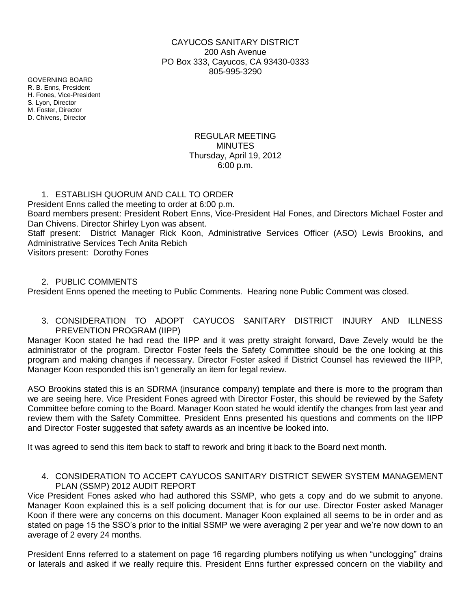## CAYUCOS SANITARY DISTRICT 200 Ash Avenue PO Box 333, Cayucos, CA 93430-0333 805-995-3290

GOVERNING BOARD R. B. Enns, President H. Fones, Vice-President S. Lyon, Director M. Foster, Director D. Chivens, Director

## REGULAR MEETING MINUTES Thursday, April 19, 2012 6:00 p.m.

### 1. ESTABLISH QUORUM AND CALL TO ORDER

President Enns called the meeting to order at 6:00 p.m. Board members present: President Robert Enns, Vice-President Hal Fones, and Directors Michael Foster and Dan Chivens. Director Shirley Lyon was absent. Staff present: District Manager Rick Koon, Administrative Services Officer (ASO) Lewis Brookins, and Administrative Services Tech Anita Rebich Visitors present: Dorothy Fones

### 2. PUBLIC COMMENTS

President Enns opened the meeting to Public Comments. Hearing none Public Comment was closed.

3. CONSIDERATION TO ADOPT CAYUCOS SANITARY DISTRICT INJURY AND ILLNESS PREVENTION PROGRAM (IIPP)

Manager Koon stated he had read the IIPP and it was pretty straight forward, Dave Zevely would be the administrator of the program. Director Foster feels the Safety Committee should be the one looking at this program and making changes if necessary. Director Foster asked if District Counsel has reviewed the IIPP, Manager Koon responded this isn't generally an item for legal review.

ASO Brookins stated this is an SDRMA (insurance company) template and there is more to the program than we are seeing here. Vice President Fones agreed with Director Foster, this should be reviewed by the Safety Committee before coming to the Board. Manager Koon stated he would identify the changes from last year and review them with the Safety Committee. President Enns presented his questions and comments on the IIPP and Director Foster suggested that safety awards as an incentive be looked into.

It was agreed to send this item back to staff to rework and bring it back to the Board next month.

### 4. CONSIDERATION TO ACCEPT CAYUCOS SANITARY DISTRICT SEWER SYSTEM MANAGEMENT PLAN (SSMP) 2012 AUDIT REPORT

Vice President Fones asked who had authored this SSMP, who gets a copy and do we submit to anyone. Manager Koon explained this is a self policing document that is for our use. Director Foster asked Manager Koon if there were any concerns on this document. Manager Koon explained all seems to be in order and as stated on page 15 the SSO's prior to the initial SSMP we were averaging 2 per year and we're now down to an average of 2 every 24 months.

President Enns referred to a statement on page 16 regarding plumbers notifying us when "unclogging" drains or laterals and asked if we really require this. President Enns further expressed concern on the viability and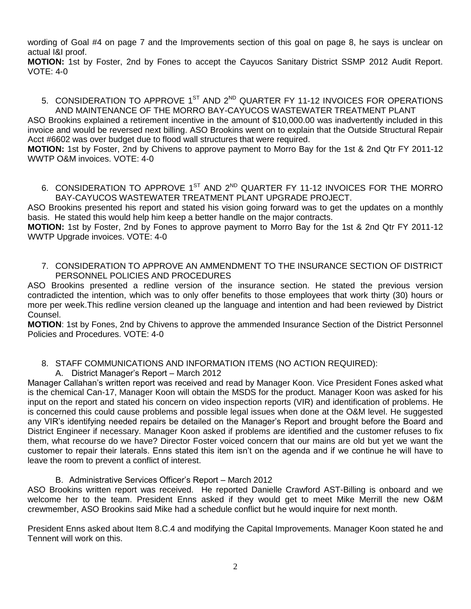wording of Goal #4 on page 7 and the Improvements section of this goal on page 8, he says is unclear on actual I&I proof.

**MOTION:** 1st by Foster, 2nd by Fones to accept the Cayucos Sanitary District SSMP 2012 Audit Report. VOTE: 4-0

#### 5. CONSIDERATION TO APPROVE  $1^\text{ST}$  and  $2^\text{ND}$  QUARTER FY 11-12 INVOICES FOR OPERATIONS AND MAINTENANCE OF THE MORRO BAY-CAYUCOS WASTEWATER TREATMENT PLANT

ASO Brookins explained a retirement incentive in the amount of \$10,000.00 was inadvertently included in this invoice and would be reversed next billing. ASO Brookins went on to explain that the Outside Structural Repair Acct #6602 was over budget due to flood wall structures that were required.

**MOTION:** 1st by Foster, 2nd by Chivens to approve payment to Morro Bay for the 1st & 2nd Qtr FY 2011-12 WWTP O&M invoices. VOTE: 4-0

6. CONSIDERATION TO APPROVE 1<sup>ST</sup> AND 2<sup>ND</sup> QUARTER FY 11-12 INVOICES FOR THE MORRO BAY-CAYUCOS WASTEWATER TREATMENT PLANT UPGRADE PROJECT.

ASO Brookins presented his report and stated his vision going forward was to get the updates on a monthly basis. He stated this would help him keep a better handle on the major contracts.

**MOTION:** 1st by Foster, 2nd by Fones to approve payment to Morro Bay for the 1st & 2nd Qtr FY 2011-12 WWTP Upgrade invoices. VOTE: 4-0

7. CONSIDERATION TO APPROVE AN AMMENDMENT TO THE INSURANCE SECTION OF DISTRICT PERSONNEL POLICIES AND PROCEDURES

ASO Brookins presented a redline version of the insurance section. He stated the previous version contradicted the intention, which was to only offer benefits to those employees that work thirty (30) hours or more per week.This redline version cleaned up the language and intention and had been reviewed by District Counsel.

**MOTION**: 1st by Fones, 2nd by Chivens to approve the ammended Insurance Section of the District Personnel Policies and Procedures. VOTE: 4-0

# 8. STAFF COMMUNICATIONS AND INFORMATION ITEMS (NO ACTION REQUIRED):

A. District Manager's Report – March 2012

Manager Callahan's written report was received and read by Manager Koon. Vice President Fones asked what is the chemical Can-17, Manager Koon will obtain the MSDS for the product. Manager Koon was asked for his input on the report and stated his concern on video inspection reports (VIR) and identification of problems. He is concerned this could cause problems and possible legal issues when done at the O&M level. He suggested any VIR's identifying needed repairs be detailed on the Manager's Report and brought before the Board and District Engineer if necessary. Manager Koon asked if problems are identified and the customer refuses to fix them, what recourse do we have? Director Foster voiced concern that our mains are old but yet we want the customer to repair their laterals. Enns stated this item isn't on the agenda and if we continue he will have to leave the room to prevent a conflict of interest.

## B. Administrative Services Officer's Report – March 2012

ASO Brookins written report was received. He reported Danielle Crawford AST-Billing is onboard and we welcome her to the team. President Enns asked if they would get to meet Mike Merrill the new O&M crewmember, ASO Brookins said Mike had a schedule conflict but he would inquire for next month.

President Enns asked about Item 8.C.4 and modifying the Capital Improvements. Manager Koon stated he and Tennent will work on this.